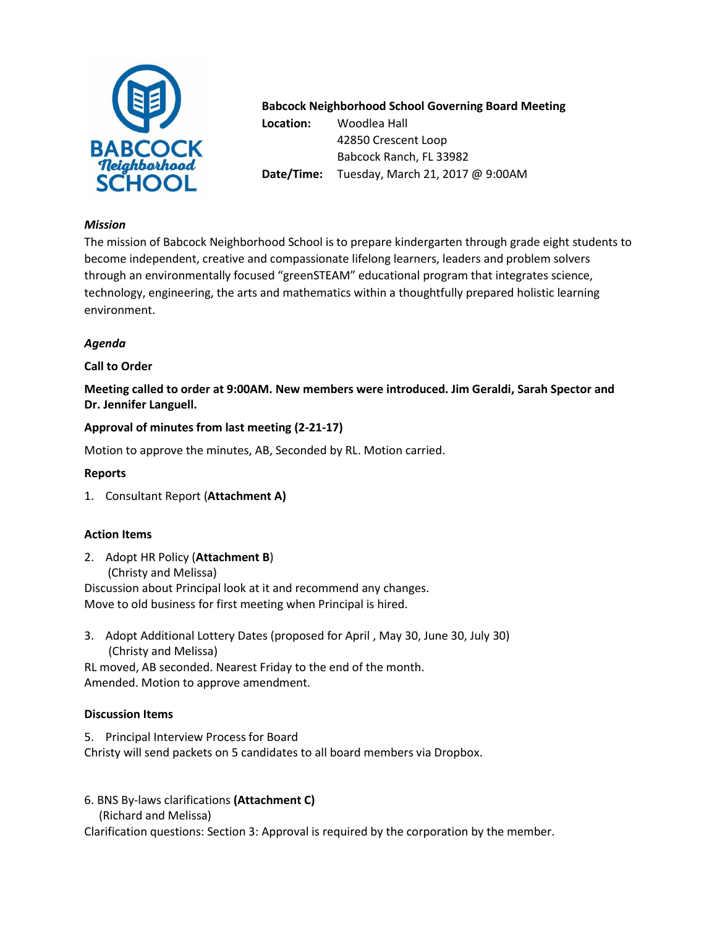

#### **Babcock Neighborhood School Governing Board Meeting**

**Location:** Woodlea Hall 42850 Crescent Loop Babcock Ranch, FL 33982 **Date/Time:** Tuesday, March 21, 2017 @ 9:00AM

#### *Mission*

The mission of Babcock Neighborhood School is to prepare kindergarten through grade eight students to become independent, creative and compassionate lifelong learners, leaders and problem solvers through an environmentally focused "greenSTEAM" educational program that integrates science, technology, engineering, the arts and mathematics within a thoughtfully prepared holistic learning environment.

# *Agenda*

# **Call to Order**

**Meeting called to order at 9:00AM. New members were introduced. Jim Geraldi, Sarah Spector and Dr. Jennifer Languell.** 

## **Approval of minutes from last meeting (2-21-17)**

Motion to approve the minutes, AB, Seconded by RL. Motion carried.

## **Reports**

1. Consultant Report (**Attachment A)**

## **Action Items**

- 2. Adopt HR Policy (**Attachment B**) (Christy and Melissa) Discussion about Principal look at it and recommend any changes. Move to old business for first meeting when Principal is hired.
- 3. Adopt Additional Lottery Dates (proposed for April , May 30, June 30, July 30) (Christy and Melissa)

RL moved, AB seconded. Nearest Friday to the end of the month. Amended. Motion to approve amendment.

## **Discussion Items**

5. Principal Interview Process for Board

Christy will send packets on 5 candidates to all board members via Dropbox.

- 6. BNS By-laws clarifications **(Attachment C)** 
	- (Richard and Melissa)

Clarification questions: Section 3: Approval is required by the corporation by the member.